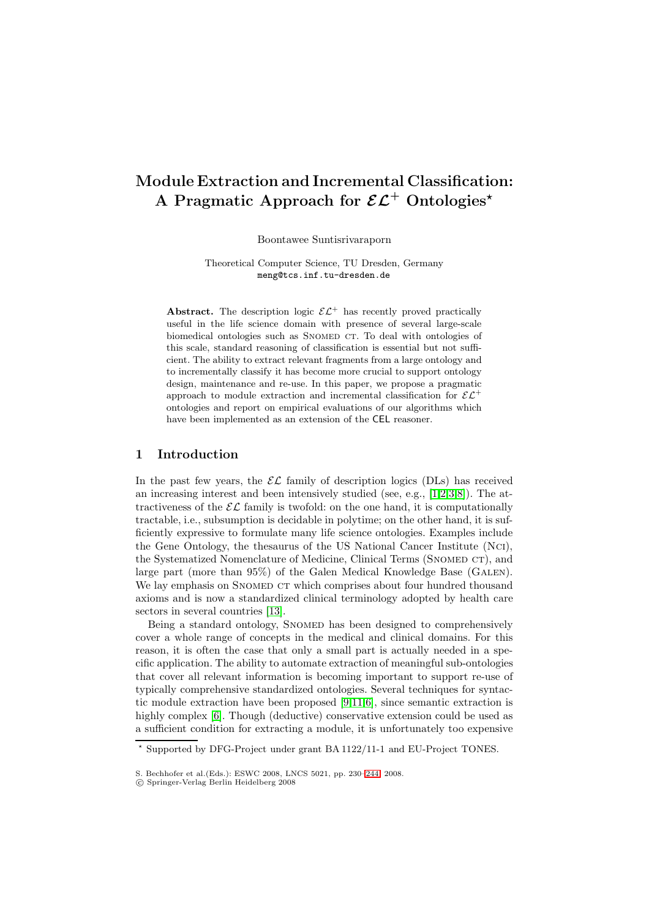# **Module Extraction and Incremental Classification: A Pragmatic Approach for** *EL***<sup>+</sup> Ontologies***-*

Boontawee Suntisrivaraporn

Theoretical Computer Science, TU Dresden, Germany meng@tcs.inf.tu-dresden.de

**Abstract.** The description logic  $\mathcal{EL}^+$  has recently proved practically useful in the life science domain with presence of several large-scale biomedical ontologies such as SNOMED CT. To deal with ontologies of this scale, standard reasoning of classification is essential but not sufficient. The ability to extract relevant fragments from a large ontology and to incrementally classify it has become more crucial to support ontology design, maintenance and re-use. In this paper, we propose a pragmatic approach to module extraction and incremental classification for  $\mathcal{EL}^+$ ontologies and report on empirical evaluations of our algorithms which have been implemented as an extension of the CEL reasoner.

### **1 Introduction**

In the past few years, the  $\mathcal{EL}$  family of description logics (DLs) has received an increasing interest and been intensively studied (see, e.g., [\[1,](#page-14-0)[2,](#page-14-1)[3,](#page-14-2)[8\]](#page-14-3)). The attractiveness of the  $\mathcal{EL}$  family is twofold: on the one hand, it is computationally tractable, i.e., subsumption is decidable in polytime; on the other hand, it is sufficiently expressive to formulate many life science ontologies. Examples include the Gene Ontology, the thesaurus of the US National Cancer Institute (Nci), the Systematized Nomenclature of Medicine, Clinical Terms (SNOMED CT), and large part (more than 95%) of the Galen Medical Knowledge Base (GALEN). We lay emphasis on SNOMED CT which comprises about four hundred thousand axioms and is now a standardized clinical terminology adopted by health care sectors in several countries [\[13\]](#page-14-4).

Being a standard ontology, SNOMED has been designed to comprehensively cover a whole range of concepts in the medical and clinical domains. For this reason, it is often the case that only a small part is actually needed in a specific application. The ability to automate extraction of meaningful sub-ontologies that cover all relevant information is becoming important to support re-use of typically comprehensive standardized ontologies. Several techniques for syntactic module extraction have been proposed [\[9,](#page-14-5)[11,](#page-14-6)[6\]](#page-14-7), since semantic extraction is highly complex [\[6\]](#page-14-7). Though (deductive) conservative extension could be used as a sufficient condition for extracting a module, it is unfortunately too expensive

<sup>-</sup> Supported by DFG-Project under grant BA 1122/11-1 and EU-Project TONES.

S. Bechhofer et al.(Eds.): ESWC 2008, LNCS 5021, pp. 230[–244,](#page-14-8) 2008.

<sup>-</sup>c Springer-Verlag Berlin Heidelberg 2008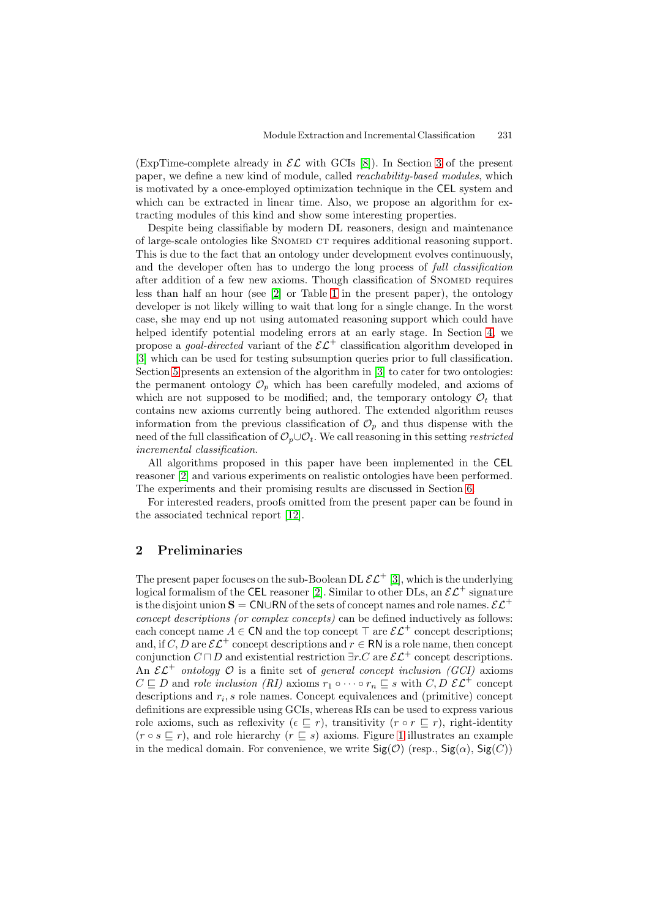(ExpTime-complete already in  $\mathcal{EL}$  with GCIs [\[8\]](#page-14-3)). In Section [3](#page-2-0) of the present paper, we define a new kind of module, called reachability-based modules, which is motivated by a once-employed optimization technique in the CEL system and which can be extracted in linear time. Also, we propose an algorithm for extracting modules of this kind and show some interesting properties.

Despite being classifiable by modern DL reasoners, design and maintenance of large-scale ontologies like Snomed ct requires additional reasoning support. This is due to the fact that an ontology under development evolves continuously, and the developer often has to undergo the long process of full classification after addition of a few new axioms. Though classification of SNOMED requires less than half an hour (see [\[2\]](#page-14-1) or Table [1](#page-11-0) in the present paper), the ontology developer is not likely willing to wait that long for a single change. In the worst case, she may end up not using automated reasoning support which could have helped identify potential modeling errors at an early stage. In Section [4,](#page-6-0) we propose a *goal-directed* variant of the  $\mathcal{E}\mathcal{L}^+$  classification algorithm developed in [\[3\]](#page-14-2) which can be used for testing subsumption queries prior to full classification. Section [5](#page-8-0) presents an extension of the algorithm in [\[3\]](#page-14-2) to cater for two ontologies: the permanent ontology  $\mathcal{O}_p$  which has been carefully modeled, and axioms of which are not supposed to be modified; and, the temporary ontology  $\mathcal{O}_t$  that contains new axioms currently being authored. The extended algorithm reuses information from the previous classification of  $\mathcal{O}_p$  and thus dispense with the need of the full classification of  $\mathcal{O}_p \cup \mathcal{O}_t$ . We call reasoning in this setting restricted incremental classification.

All algorithms proposed in this paper have been implemented in the CEL reasoner [\[2\]](#page-14-1) and various experiments on realistic ontologies have been performed. The experiments and their promising results are discussed in Section [6.](#page-10-0)

For interested readers, proofs omitted from the present paper can be found in the associated technical report [\[12\]](#page-14-9).

### **2 Preliminaries**

The present paper focuses on the sub-Boolean DL  $\mathcal{EL}^+$  [\[3\]](#page-14-2), which is the underlying logical formalism of the CEL reasoner [\[2\]](#page-14-1). Similar to other DLs, an  $\mathcal{EL}^+$  signature is the disjoint union  $\mathbf{S} = \mathsf{CN} \cup \mathsf{RN}$  of the sets of concept names and role names.  $\mathcal{EL}^+$ concept descriptions (or complex concepts) can be defined inductively as follows: each concept name  $A \in \mathsf{CN}$  and the top concept  $\top$  are  $\mathcal{EL}^+$  concept descriptions; and, if C, D are  $\mathcal{EL}^+$  concept descriptions and  $r \in \mathsf{RN}$  is a role name, then concept conjunction  $C \sqcap D$  and existential restriction  $\exists r.C$  are  $\mathcal{EL}^+$  concept descriptions. An  $\mathcal{EL}^+$  ontology  $\mathcal O$  is a finite set of general concept inclusion (GCI) axioms  $C \sqsubseteq D$  and role inclusion (RI) axioms  $r_1 \circ \cdots \circ r_n \sqsubseteq s$  with  $C, D \mathcal{EL}^+$  concept descriptions and  $r_i$ , s role names. Concept equivalences and (primitive) concept definitions are expressible using GCIs, whereas RIs can be used to express various role axioms, such as reflexivity  $(\epsilon \subseteq r)$ , transitivity  $(r \circ r \subseteq r)$ , right-identity  $(r \circ s \sqsubseteq r)$ , and role hierarchy  $(r \sqsubseteq s)$  axioms. Figure [1](#page-2-1) illustrates an example in the medical domain. For convenience, we write  $\mathsf{Sig}(\mathcal{O})$  (resp.,  $\mathsf{Sig}(\alpha)$ ,  $\mathsf{Sig}(C)$ )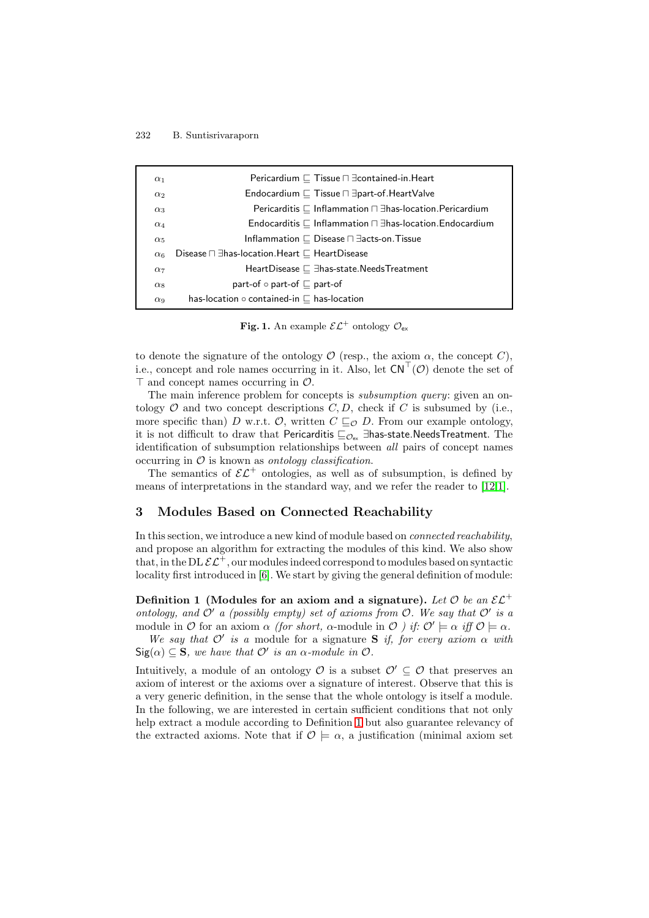| $\alpha_1$            | Pericardium $\Box$ Tissue $\Box$ $\exists$ contained-in. Heart     |
|-----------------------|--------------------------------------------------------------------|
| $\alpha_2$            | Endocardium $\Box$ Tissue $\Box$ $\exists$ part-of. Heart Valve    |
| $\alpha_3$            | Pericarditis $\Box$ Inflammation $\Box$ Thas-location. Pericardium |
| $\alpha_4$            | Endocarditis $\Box$ Inflammation $\Box$ Thas-location. Endocardium |
| $\alpha_5$            | Inflammation $\Box$ Disease $\Box$ $\exists$ acts-on. Tissue       |
| $\alpha_6$            | Disease $\sqcap$ 3 has-location. Heart $\sqsubset$ Heart Disease   |
| $\alpha_7$            | HeartDisease $\Box$ $\exists$ has-state.NeedsTreatment             |
| $\alpha_8$            | part-of $\circ$ part-of $\sqsubset$ part-of                        |
| $\alpha$ <sup>o</sup> | has-location $\circ$ contained-in $\sqsubset$ has-location         |

<span id="page-2-1"></span>**Fig. 1.** An example  $\mathcal{EL}^+$  ontology  $\mathcal{O}_{\mathsf{ex}}$ 

to denote the signature of the ontology  $\mathcal O$  (resp., the axiom  $\alpha$ , the concept C), i.e., concept and role names occurring in it. Also, let  $CN^{\perp}(\mathcal{O})$  denote the set of  $\top$  and concept names occurring in  $\mathcal{O}$ .

The main inference problem for concepts is *subsumption query*: given an ontology  $\mathcal O$  and two concept descriptions  $C, D$ , check if C is subsumed by (i.e., more specific than) D w.r.t. O, written  $C \sqsubseteq_{\mathcal{O}} D$ . From our example ontology, it is not difficult to draw that Pericarditis  $\sqsubseteq_{\mathcal{O}_{\text{ex}}}$  ∃has-state.NeedsTreatment. The identification of subsumption relationships between all pairs of concept names occurring in  $\mathcal O$  is known as *ontology classification*.

The semantics of  $\mathcal{EL}^+$  ontologies, as well as of subsumption, is defined by means of interpretations in the standard way, and we refer the reader to [\[12](#page-14-9)[,1\]](#page-14-0).

### <span id="page-2-0"></span>**3 Modules Based on Connected Reachability**

In this section, we introduce a new kind of module based on connected reachability, and propose an algorithm for extracting the modules of this kind. We also show that, in the DL  $\mathcal{EL}^+$ , our modules indeed correspond to modules based on syntactic locality first introduced in [\[6\]](#page-14-7). We start by giving the general definition of module:

<span id="page-2-2"></span>**Definition 1 (Modules for an axiom and a signature).** Let  $\mathcal{O}$  be an  $\mathcal{EL}^+$ ontology, and  $\mathcal{O}'$  a (possibly empty) set of axioms from  $\mathcal{O}$ . We say that  $\mathcal{O}'$  is a module in O for an axiom  $\alpha$  (for short,  $\alpha$ -module in O ) if:  $\mathcal{O}' \models \alpha$  iff  $\mathcal{O} \models \alpha$ .

We say that  $\mathcal{O}'$  is a module for a signature **S** if, for every axiom  $\alpha$  with  $\textsf{Sig}(\alpha) \subseteq \mathbf{S}$ , we have that  $\mathcal{O}'$  is an  $\alpha$ -module in  $\mathcal{O}$ .

Intuitively, a module of an ontology  $\mathcal O$  is a subset  $\mathcal O' \subseteq \mathcal O$  that preserves an axiom of interest or the axioms over a signature of interest. Observe that this is a very generic definition, in the sense that the whole ontology is itself a module. In the following, we are interested in certain sufficient conditions that not only help extract a module according to Definition [1](#page-2-2) but also guarantee relevancy of the extracted axioms. Note that if  $\mathcal{O} \models \alpha$ , a justification (minimal axiom set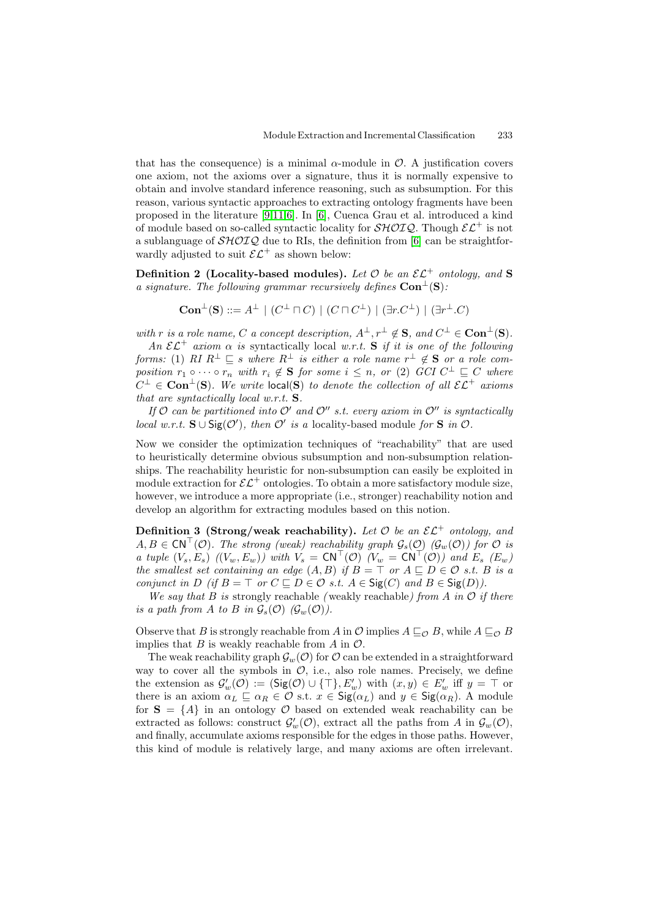that has the consequence) is a minimal  $\alpha$ -module in  $\mathcal{O}$ . A justification covers one axiom, not the axioms over a signature, thus it is normally expensive to obtain and involve standard inference reasoning, such as subsumption. For this reason, various syntactic approaches to extracting ontology fragments have been proposed in the literature [\[9](#page-14-5)[,11](#page-14-6)[,6\]](#page-14-7). In [\[6\]](#page-14-7), Cuenca Grau et al. introduced a kind of module based on so-called syntactic locality for  $\mathcal{SHOLQ}$ . Though  $\mathcal{EL}^+$  is not a sublanguage of  $\mathcal{SHOLQ}$  due to RIs, the definition from [\[6\]](#page-14-7) can be straightforwardly adjusted to suit  $\mathcal{EL}^+$  as shown below:

**Definition 2** (Locality-based modules). Let  $\mathcal{O}$  be an  $\mathcal{EL}^+$  ontology, and **S** a signature. The following grammar recursively defines  $Con<sup>⊥</sup>(**S**)$ :

$$
\mathbf{Con}^{\perp}(\mathbf{S}) ::= A^{\perp} \mid (C^{\perp} \sqcap C) \mid (C \sqcap C^{\perp}) \mid (\exists r.C^{\perp}) \mid (\exists r^{\perp}.C)
$$

with r is a role name, C a concept description,  $A^{\perp}, r^{\perp} \notin S$ , and  $C^{\perp} \in \mathbf{Con}^{\perp}(S)$ .

An  $\mathcal{EL}^+$  axiom  $\alpha$  is syntactically local w.r.t. **S** if it is one of the following forms: (1) RI  $R^{\perp} \sqsubseteq s$  where  $R^{\perp}$  is either a role name  $r^{\perp} \notin S$  or a role composition  $r_1 \circ \cdots \circ r_n$  with  $r_i \notin \mathbf{S}$  for some  $i \leq n$ , or (2) GCI  $C^{\perp} \sqsubseteq C$  where  $C^{\perp} \in \textbf{Con}^{\perp}(\mathbf{S})$ . We write  $\text{local}(\mathbf{S})$  to denote the collection of all  $\mathcal{EL}^+$  axioms that are syntactically local w.r.t. **S**.

If  $\mathcal O$  can be partitioned into  $\mathcal O'$  and  $\mathcal O''$  s.t. every axiom in  $\mathcal O''$  is syntactically local w.r.t. **S**∪ $\text{Sig}(\mathcal{O}')$ , then  $\mathcal{O}'$  is a locality-based module for **S** in  $\mathcal{O}$ .

Now we consider the optimization techniques of "reachability" that are used to heuristically determine obvious subsumption and non-subsumption relationships. The reachability heuristic for non-subsumption can easily be exploited in module extraction for  $\mathcal{EL}^+$  ontologies. To obtain a more satisfactory module size, however, we introduce a more appropriate (i.e., stronger) reachability notion and develop an algorithm for extracting modules based on this notion.

**Definition 3 (Strong/weak reachability).** Let  $\mathcal{O}$  be an  $\mathcal{EL}^+$  ontology, and  $A, B \in \text{CN}^{\top}(\mathcal{O})$ . The strong (weak) reachability graph  $\mathcal{G}_{s}(\mathcal{O})$  ( $\mathcal{G}_{w}(\mathcal{O})$ ) for  $\mathcal{O}$  is a tuple  $(V_s, E_s)$   $((V_w, E_w))$  with  $V_s = \text{CN}^{\top}(\mathcal{O})$   $(V_w = \text{CN}^{\top}(\mathcal{O}))$  and  $E_s$   $(E_w)$ the smallest set containing an edge  $(A, B)$  if  $B = \top$  or  $A \sqsubseteq D \in \mathcal{O}$  s.t. B is a conjunct in D (if  $B = \top$  or  $C \sqsubseteq D \in \mathcal{O}$  s.t.  $A \in \text{Sig}(C)$  and  $B \in \text{Sig}(D)$ ).

We say that B is strongly reachable (weakly reachable) from A in  $\mathcal O$  if there is a path from A to B in  $\mathcal{G}_s(\mathcal{O})$  ( $\mathcal{G}_w(\mathcal{O})$ ).

Observe that B is strongly reachable from A in O implies  $A \sqsubseteq_{\mathcal{O}} B$ , while  $A \sqsubseteq_{\mathcal{O}} B$ implies that  $B$  is weakly reachable from  $A$  in  $\mathcal{O}$ .

The weak reachability graph  $\mathcal{G}_w(\mathcal{O})$  for  $\mathcal O$  can be extended in a straightforward way to cover all the symbols in  $\mathcal{O}$ , i.e., also role names. Precisely, we define the extension as  $\mathcal{G}'_w(\mathcal{O}) := (\mathsf{Sig}(\mathcal{O}) \cup \{\top\}, E'_w)$  with  $(x, y) \in E'_w$  iff  $y = \top$  or there is an axiom  $\alpha_L \sqsubseteq \alpha_R \in \mathcal{O}$  s.t.  $x \in \mathsf{Sig}(\alpha_L)$  and  $y \in \mathsf{Sig}(\alpha_R)$ . A module for  $S = \{A\}$  in an ontology O based on extended weak reachability can be extracted as follows: construct  $\mathcal{G}'_w(\mathcal{O})$ , extract all the paths from A in  $\mathcal{G}_w(\mathcal{O})$ , and finally, accumulate axioms responsible for the edges in those paths. However, this kind of module is relatively large, and many axioms are often irrelevant.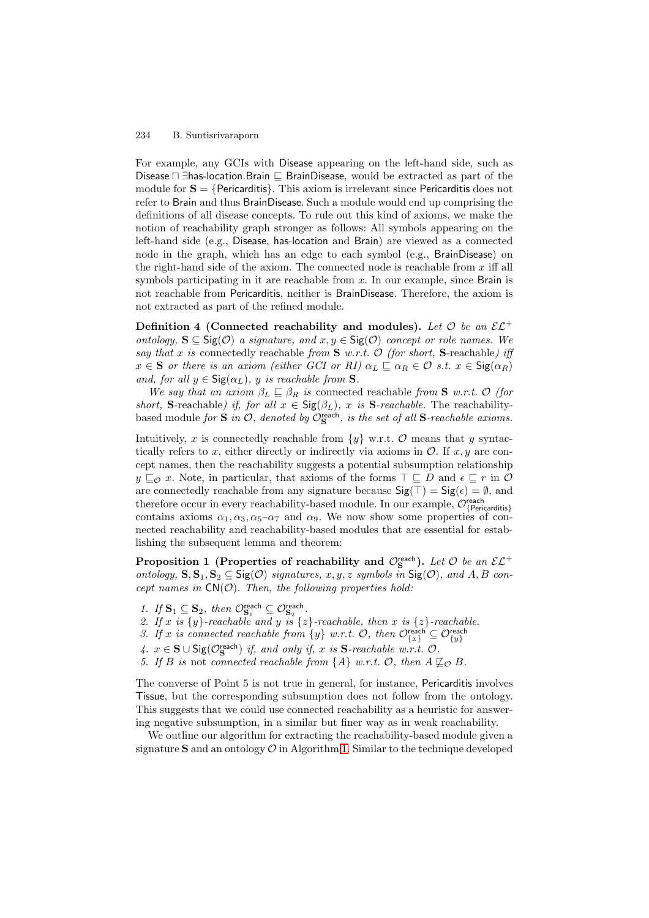For example, any GCIs with Disease appearing on the left-hand side, such as Disease  $□$  ∃has-location.Brain  $□$  BrainDisease, would be extracted as part of the module for  $S = \{Pericarditis\}$ . This axiom is irrelevant since Pericarditis does not refer to Brain and thus BrainDisease. Such a module would end up comprising the definitions of all disease concepts. To rule out this kind of axioms, we make the notion of reachability graph stronger as follows: All symbols appearing on the left-hand side (e.g., Disease, has-location and Brain) are viewed as a connected node in the graph, which has an edge to each symbol (e.g., BrainDisease) on the right-hand side of the axiom. The connected node is reachable from  $x$  iff all symbols participating in it are reachable from  $x$ . In our example, since Brain is not reachable from Pericarditis, neither is BrainDisease. Therefore, the axiom is not extracted as part of the refined module.

**Definition 4 (Connected reachability and modules).** Let  $\mathcal{O}$  be an  $\mathcal{EL}^+$ ontology, **S** ⊂ Sig( $\mathcal{O}$ ) a signature, and  $x, y \in$  Sig( $\mathcal{O}$ ) concept or role names. We say that x is connectedly reachable from  $S$  w.r.t.  $O$  (for short,  $S$ -reachable) iff  $x \in \mathbf{S}$  or there is an axiom (either GCI or RI)  $\alpha_L \sqsubseteq \alpha_R \in \mathcal{O}$  s.t.  $x \in \mathsf{Sig}(\alpha_R)$ and, for all  $y \in \text{Sig}(\alpha_L)$ , y is reachable from **S**.

We say that an axiom  $\beta_L \subseteq \beta_R$  is connected reachable from **S** w.r.t. O (for short, **S**-reachable) if, for all  $x \in \text{Sig}(\beta_L)$ , x is **S**-reachable. The reachabilitybased module for **S** in  $\mathcal{O}$ , denoted by  $\mathcal{O}_{\mathbf{S}}^{\text{reach}}$ , is the set of all **S**-reachable axioms.

Intuitively, x is connectedly reachable from  $\{y\}$  w.r.t. O means that y syntactically refers to x, either directly or indirectly via axioms in  $\mathcal{O}$ . If x, y are concept names, then the reachability suggests a potential subsumption relationship  $y \sqsubseteq_{\mathcal{O}} x$ . Note, in particular, that axioms of the forms  $\top \sqsubseteq D$  and  $\epsilon \sqsubseteq r$  in  $\mathcal{O}$ are connectedly reachable from any signature because  $\mathsf{Sig}(\top) = \mathsf{Sig}(\epsilon) = \emptyset$ , and therefore occur in every reachability-based module. In our example,  $\mathcal{O}_{\{Pericarditis\}}^{reach}$ contains axioms  $\alpha_1, \alpha_3, \alpha_5-\alpha_7$  and  $\alpha_9$ . We now show some properties of connected reachability and reachability-based modules that are essential for establishing the subsequent lemma and theorem:

<span id="page-4-0"></span>**Proposition 1** (Properties of reachability and  $\mathcal{O}_\mathbf{S}^{\text{reach}}$ ). Let  $\mathcal O$  be an  $\mathcal{EL}^+$ ontology, **S**, **S**<sub>1</sub>, **S**<sub>2</sub> ⊆ **S**ig( $\mathcal{O}$ ) signatures, x, y, z symbols in **Sig**( $\mathcal{O}$ ), and A, B concept names in  $CN(\mathcal{O})$ . Then, the following properties hold:

- 1. If  $\mathbf{S}_1 \subseteq \mathbf{S}_2$ , then  $\mathcal{O}_{\mathbf{S}_1}^{\text{reach}} \subseteq \mathcal{O}_{\mathbf{S}_2}^{\text{reach}}$ .
- 2. If x is  $\{y\}$ -reachable and y is  $\{z\}$ -reachable, then x is  $\{z\}$ -reachable.
- 3. If x is connected reachable from  $\{y\}$  w.r.t.  $\mathcal{O}$ , then  $\mathcal{O}_{\{x\}}^{\mathsf{reach}} \subseteq \mathcal{O}_{\{y\}}^{\mathsf{reach}}$
- 4.  $x \in S \cup \text{Sig}(\mathcal{O}_S^{\text{reach}})$  if, and only if, x is S-reachable w.r.t.  $\mathcal{O}$ .
- 5. If B is not connected reachable from  $\{A\}$  w.r.t.  $\mathcal{O}$ , then  $A \not\sqsubseteq_{\mathcal{O}} B$ .

The converse of Point 5 is not true in general, for instance, Pericarditis involves Tissue, but the corresponding subsumption does not follow from the ontology. This suggests that we could use connected reachability as a heuristic for answering negative subsumption, in a similar but finer way as in weak reachability.

We outline our algorithm for extracting the reachability-based module given a signature  $S$  and an ontology  $O$  in Algorithm [1.](#page-5-0) Similar to the technique developed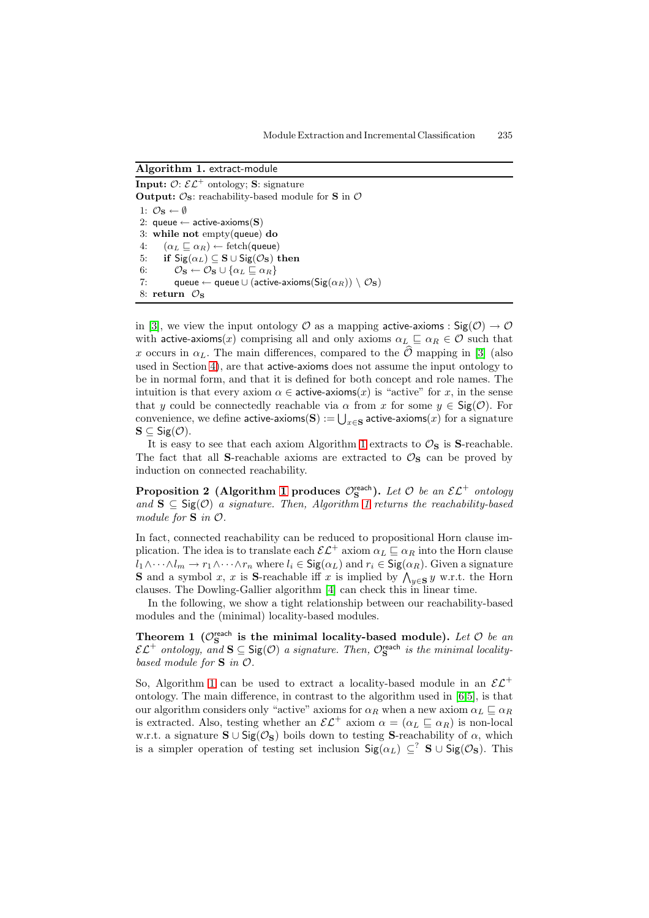<span id="page-5-0"></span>**Algorithm 1.** extract-module

**Input:**  $\mathcal{O}: \mathcal{EL}^+$  ontology; **S**: signature **Output:**  $\mathcal{O}_S$ : reachability-based module for **S** in  $\mathcal{O}$ 1:  $\mathcal{O}_\mathbf{S} \leftarrow \emptyset$ 2: queue  $\leftarrow$  active-axioms(S) 3: **while not** empty(queue) **do** 4:  $(\alpha_L \sqsubseteq \alpha_R) \leftarrow \text{fetch}(\text{queue})$ 5: **if**  $\text{Sig}(\alpha_L) \subseteq \mathbf{S} \cup \text{Sig}(\mathcal{O}_\mathbf{S})$  then 6:  $\mathcal{O}_\mathbf{S} \leftarrow \mathcal{O}_\mathbf{S} \cup \{\alpha_L \sqsubseteq \alpha_R\}$ 7: queue ← queue ∪ (active-axioms(Sig( $\alpha_R$ )) \  $\mathcal{O}_\mathbf{S}$ ) 8: **return**  $\mathcal{O}_S$ 

in [\[3\]](#page-14-2), we view the input ontology  $\mathcal O$  as a mapping active-axioms :  $\text{Sig}(\mathcal O) \to \mathcal O$ with active-axioms(x) comprising all and only axioms  $\alpha_L \subseteq \alpha_R \in \mathcal{O}$  such that x occurs in  $\alpha_L$ . The main differences, compared to the  $\mathcal O$  mapping in [\[3\]](#page-14-2) (also used in Section [4\)](#page-6-0), are that active-axioms does not assume the input ontology to be in normal form, and that it is defined for both concept and role names. The intuition is that every axiom  $\alpha \in$  active-axioms(x) is "active" for x, in the sense that y could be connectedly reachable via  $\alpha$  from x for some  $y \in \mathsf{Sig}(\mathcal{O})$ . For convenience, we define  $\textsf{active-axioms}(\mathbf{S}) := \bigcup_{x \in \mathbf{S}} \textsf{active-axioms}(x)$  for a signature  $\mathbf{S} \subseteq \mathsf{Sig}(\mathcal{O}).$ 

It is easy to see that each axiom Algorithm [1](#page-5-0) extracts to  $\mathcal{O}_S$  is **S**-reachable. The fact that all **S**-reachable axioms are extracted to  $\mathcal{O}_\mathbf{S}$  can be proved by induction on connected reachability.

**Proposition 2** (Algorithm [1](#page-5-0) produces  $\mathcal{O}_{\mathbf{S}}^{\text{reach}}$ ). Let  $\mathcal O$  be an  $\mathcal{EL}^+$  ontology and  $\mathbf{S} \subseteq \mathsf{Sig}(\mathcal{O})$  a signature. Then, Algorithm [1](#page-5-0) returns the reachability-based module for **S** in O.

In fact, connected reachability can be reduced to propositional Horn clause implication. The idea is to translate each  $\mathcal{EL}^+$  axiom  $\alpha_L \sqsubseteq \alpha_R$  into the Horn clause  $l_1 \wedge \cdots \wedge l_m \to r_1 \wedge \cdots \wedge r_n$  where  $l_i \in \mathsf{Sig}(\alpha_L)$  and  $r_i \in \mathsf{Sig}(\alpha_R)$ . Given a signature **S** and a symbol x, x is S-reachable iff x is implied by  $\bigwedge_{y \in S} y$  w.r.t. the Horn clauses. The Dowling-Gallier algorithm [\[4\]](#page-14-10) can check this in linear time.

In the following, we show a tight relationship between our reachability-based modules and the (minimal) locality-based modules.

<span id="page-5-1"></span>**Theorem 1** ( $\mathcal{O}_{\mathbf{S}}^{\text{reach}}$  is the minimal locality-based module). Let  $\mathcal{O}$  be an  $\mathcal{EL}^+$  ontology, and  $\mathbf{S} \subseteq \text{Sig}(\mathcal{O})$  a signature. Then,  $\mathcal{O}_\mathbf{S}^{\text{reach}}$  is the minimal localitybased module for **S** in O.

So, Algorithm [1](#page-5-0) can be used to extract a locality-based module in an  $\mathcal{EL}^+$ ontology. The main difference, in contrast to the algorithm used in [\[6](#page-14-7)[,5\]](#page-14-11), is that our algorithm considers only "active" axioms for  $\alpha_R$  when a new axiom  $\alpha_L \sqsubseteq \alpha_R$ is extracted. Also, testing whether an  $\mathcal{EL}^+$  axiom  $\alpha = (\alpha_L \sqsubseteq \alpha_R)$  is non-local w.r.t. a signature  $\mathbf{S} \cup \mathsf{Sig}(\mathcal{O}_\mathbf{S})$  boils down to testing **S**-reachability of  $\alpha$ , which is a simpler operation of testing set inclusion  $\text{Sig}(\alpha_L) \subseteq ?$  **S** ∪  $\text{Sig}(\mathcal{O}_\mathbf{S})$ . This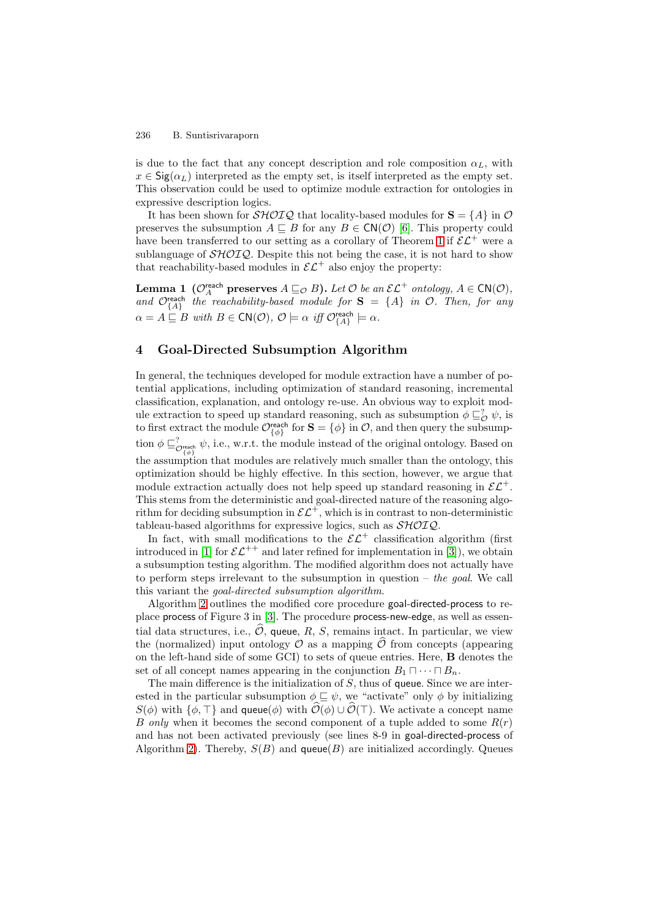is due to the fact that any concept description and role composition  $\alpha_L$ , with  $x \in \text{Sig}(\alpha_L)$  interpreted as the empty set, is itself interpreted as the empty set. This observation could be used to optimize module extraction for ontologies in expressive description logics.

It has been shown for  $\mathcal{SHOLQ}$  that locality-based modules for  $\mathbf{S} = \{A\}$  in  $\mathcal{O}$ preserves the subsumption  $A \subseteq B$  for any  $B \in \mathsf{CN}(\mathcal{O})$  [\[6\]](#page-14-7). This property could have been transferred to our setting as a corollary of Theorem [1](#page-5-1) if  $\mathcal{EL}^+$  were a sublanguage of  $\mathcal{SHOLQ}$ . Despite this not being the case, it is not hard to show that reachability-based modules in  $\mathcal{EL}^+$  also enjoy the property:

**Lemma 1** ( $\mathcal{O}_A^{\text{reach}}$  preserves  $A \sqsubseteq_{\mathcal{O}} B$ ). Let  $\mathcal{O}$  be an  $\mathcal{EL}^+$  ontology,  $A \in \text{CN}(\mathcal{O})$ , and  $\mathcal{O}_{\{A\}}^{\text{reach}}$  the reachability-based module for  $S = \{A\}$  in  $\mathcal{O}$ . Then, for any  $\alpha = A \sqsubseteq B$  with  $B \in \mathsf{CN}(\mathcal{O}), \ \mathcal{O} \models \alpha \ \text{ iff } \mathcal{O}_{\{A\}}^{\mathsf{reach}} \models \alpha.$ 

### <span id="page-6-0"></span>**4 Goal-Directed Subsumption Algorithm**

In general, the techniques developed for module extraction have a number of potential applications, including optimization of standard reasoning, incremental classification, explanation, and ontology re-use. An obvious way to exploit module extraction to speed up standard reasoning, such as subsumption  $\phi \sqsubseteq_{\mathcal{O}}^? \psi$ , is to first extract the module  $\mathcal{O}_{\{\phi\}}^{\text{reach}}$  for  $\mathbf{S} = \{\phi\}$  in  $\mathcal{O}$ , and then query the subsumption  $\phi \sqsubseteq_{\mathcal{O}_{\{\phi\}}^{\text{reach}}}^{\infty} \psi$ , i.e., w.r.t. the module instead of the original ontology. Based on the assumption that modules are relatively much smaller than the ontology, this optimization should be highly effective. In this section, however, we argue that module extraction actually does not help speed up standard reasoning in  $\mathcal{EL}^+$ . This stems from the deterministic and goal-directed nature of the reasoning algorithm for deciding subsumption in  $\mathcal{EL}^+$ , which is in contrast to non-deterministic tableau-based algorithms for expressive logics, such as  $\mathcal{SHOIQ}$ .

In fact, with small modifications to the  $\mathcal{EL}^+$  classification algorithm (first introduced in [\[1\]](#page-14-0) for  $\mathcal{EL}^{++}$  and later refined for implementation in [\[3\]](#page-14-2)), we obtain a subsumption testing algorithm. The modified algorithm does not actually have to perform steps irrelevant to the subsumption in question  $-$  the goal. We call this variant the goal-directed subsumption algorithm.

Algorithm [2](#page-7-0) outlines the modified core procedure goal-directed-process to replace process of Figure 3 in [\[3\]](#page-14-2). The procedure process-new-edge, as well as essential data structures, i.e.,  $\mathcal{O}$ , queue, R, S, remains intact. In particular, we view the (normalized) input ontology  $\mathcal O$  as a mapping  $\mathcal O$  from concepts (appearing  $\mathcal O$  as the left hand side of same CCI) to sets of surve entries. Here  $\mathbf P$  denotes the on the left-hand side of some GCI) to sets of queue entries. Here, **B** denotes the set of all concept names appearing in the conjunction  $B_1 \sqcap \cdots \sqcap B_n$ .

The main difference is the initialization of  $S$ , thus of queue. Since we are interested in the particular subsumption  $\phi \sqsubseteq \psi$ , we "activate" only  $\phi$  by initializing  $S(\phi)$  with  $\{\phi, \top\}$  and queue $(\phi)$  with  $\mathcal{O}(\phi) \cup \mathcal{O}(\top)$ . We activate a concept name B only when it becomes the second component of a tuple added to some  $R(r)$ and has not been activated previously (see lines 8-9 in goal-directed-process of Algorithm [2\)](#page-7-0). Thereby,  $S(B)$  and queue(B) are initialized accordingly. Queues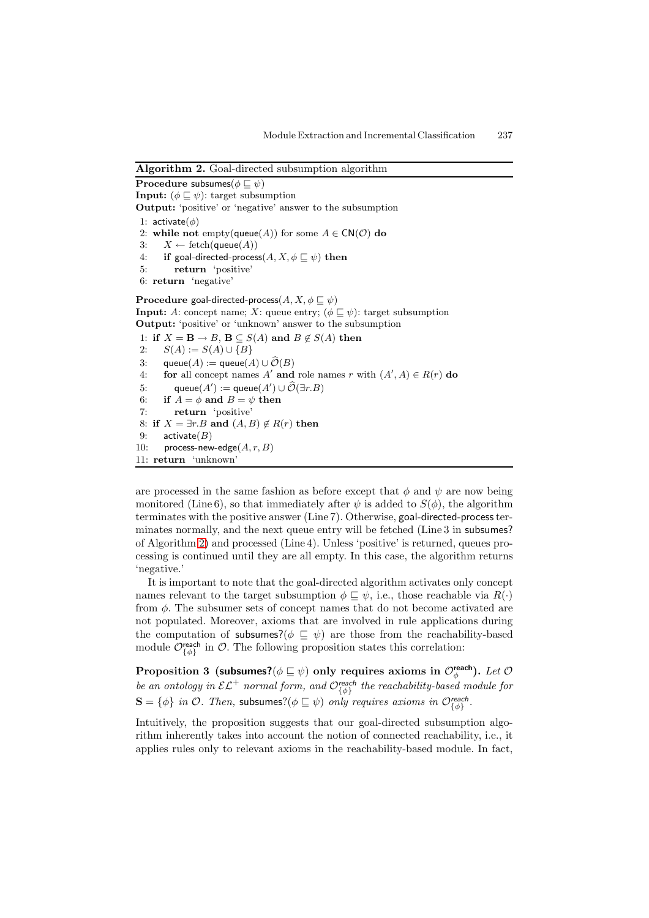### <span id="page-7-0"></span>**Algorithm 2.** Goal-directed subsumption algorithm

 $\textbf{Proceedure subsumes}(\phi \sqsubseteq \psi)$ **Input:**  $(\phi \sqsubseteq \psi)$ : target subsumption **Output:** 'positive' or 'negative' answer to the subsumption 1:  $\arctivate(\phi)$ 2: **while not** empty(queue(A)) for some  $A \in \text{CN}(\mathcal{O})$  do 3:  $X \leftarrow \text{ fetch}(\text{queue}(A))$  $4: \quad$  **if** goal-directed-process $(A, X, \phi \sqsubseteq \psi)$  then 5: **return** 'positive' 6: **return** 'negative'  ${\bf Procedure}$  goal-directed-process $(A, X, \phi \sqsubseteq \psi)$ **Input:** A: concept name; X: queue entry;  $(\phi \sqsubseteq \psi)$ : target subsumption **Output:** 'positive' or 'unknown' answer to the subsumption 1: **if**  $X = \mathbf{B} \to B$ ,  $\mathbf{B} \subseteq S(A)$  and  $B \notin S(A)$  then 2:  $S(A) := S(A) \cup {B}$ 3: queue $(A) :=$  queue $(A) \cup \mathcal{O}(B)$ 4: **for** all concept names A' and role names r with  $(A', A) \in R(r)$  do 5:  $\qquad \text{queue}(A') := \text{queue}(A') \cup \widehat{\mathcal{O}}(\exists r.B)$ 6: **if**  $A = \phi$  **and**  $B = \psi$  **then** 7: **return** 'positive' 8: **if**  $X = \exists r.B$  and  $(A, B) \notin R(r)$  then 9: activate $(B)$ 10: process-new-edge $(A, r, B)$ 11: **return** 'unknown'

are processed in the same fashion as before except that  $\phi$  and  $\psi$  are now being monitored (Line 6), so that immediately after  $\psi$  is added to  $S(\phi)$ , the algorithm terminates with the positive answer (Line 7). Otherwise, goal-directed-process terminates normally, and the next queue entry will be fetched (Line 3 in subsumes? of Algorithm [2\)](#page-7-0) and processed (Line 4). Unless 'positive' is returned, queues processing is continued until they are all empty. In this case, the algorithm returns 'negative.'

It is important to note that the goal-directed algorithm activates only concept names relevant to the target subsumption  $\phi \sqsubseteq \psi$ , i.e., those reachable via  $R(\cdot)$ from  $\phi$ . The subsumer sets of concept names that do not become activated are not populated. Moreover, axioms that are involved in rule applications during the computation of subsumes?( $\phi \subseteq \psi$ ) are those from the reachability-based module  $\mathcal{O}_{\{\phi\}}^{\text{reach}}$  in  $\mathcal{O}$ . The following proposition states this correlation:

<span id="page-7-1"></span> ${\bf Proposition ~3 ~ (subsumes?} (\phi \sqsubseteq \psi) ~ {\bf only ~ requires ~ axioms in ~} {\cal O}^{\bf reach}_\phi).$  Let  ${\cal O}$ be an ontology in  $\mathcal{EL}^+$  normal form, and  $\mathcal{O}_{\{\phi\}}^{reach}$  the reachability-based module for  $\mathbf{S} = \{\phi\}$  in  $\mathcal{O}$ . Then, subsumes? $(\phi \sqsubseteq \psi)$  only requires axioms in  $\mathcal{O}_{\{\phi\}}^{\text{reach}}$ .

Intuitively, the proposition suggests that our goal-directed subsumption algorithm inherently takes into account the notion of connected reachability, i.e., it applies rules only to relevant axioms in the reachability-based module. In fact,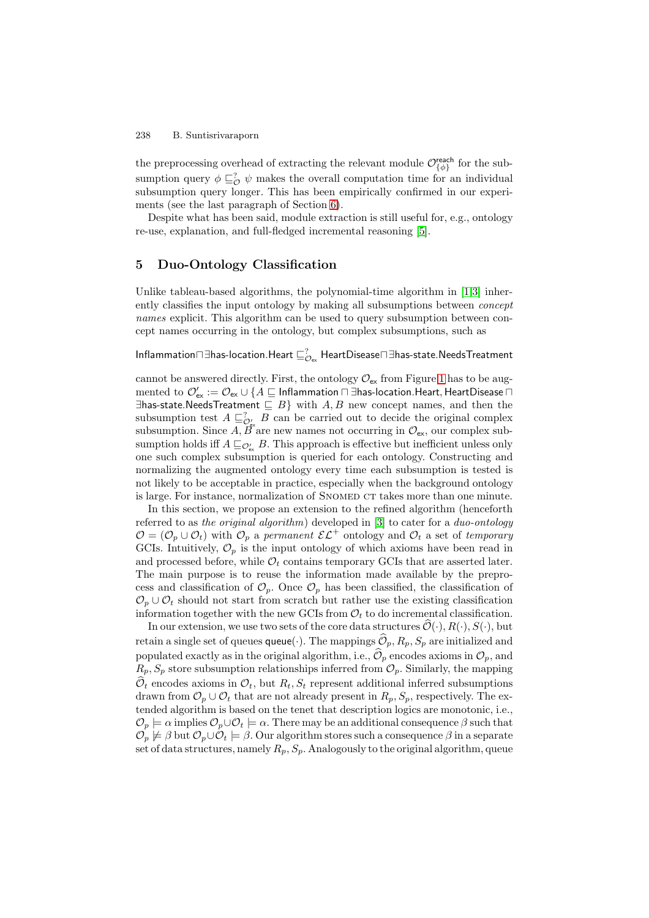the preprocessing overhead of extracting the relevant module  $\mathcal{O}_{\{\phi\}}^{\text{reach}}$  for the subsumption query  $\phi \sqsubseteq_{\mathcal{O}}^? \psi$  makes the overall computation time for an individual subsumption query longer. This has been empirically confirmed in our experiments (see the last paragraph of Section [6\)](#page-10-0).

Despite what has been said, module extraction is still useful for, e.g., ontology re-use, explanation, and full-fledged incremental reasoning [\[5\]](#page-14-11).

## <span id="page-8-0"></span>**5 Duo-Ontology Classification**

Unlike tableau-based algorithms, the polynomial-time algorithm in [\[1](#page-14-0)[,3\]](#page-14-2) inherently classifies the input ontology by making all subsumptions between concept names explicit. This algorithm can be used to query subsumption between concept names occurring in the ontology, but complex subsumptions, such as

## Inflammation $\sqcap \exists$ has-location.Heart  $\sqsubseteq_{\mathcal{O}_{\mathrm{ex}}}^?$  HeartDisease $\sqcap \exists$ has-state.NeedsTreatment

cannot be answered directly. First, the ontology  $\mathcal{O}_{\mathsf{ex}}$  from Figure [1](#page-2-1) has to be aug- $\rm{mented\ to\ \mathcal{O}'_{ex}:=\mathcal{O}_{ex}\cup\{A\sqsubseteq\mathsf{Inflammation}\sqcap\exists\text{has-location.Heart, HeartDisease}\sqcap$ ∃has-state.NeedsTreatment  $\subseteq$  B} with A, B new concept names, and then the subsumption test  $A \sqsubseteq_{\mathcal{O}'_{\mathcal{C}}}^? B$  can be carried out to decide the original complex subsumption. Since A,  $\vec{B}$  are new names not occurring in  $\mathcal{O}_{\mathsf{ex}}$ , our complex subsumption holds iff  $A \sqsubseteq_{\mathcal{O}'_{\mathsf{ex}}} B$ . This approach is effective but inefficient unless only one such complex subsumption is queried for each ontology. Constructing and normalizing the augmented ontology every time each subsumption is tested is not likely to be acceptable in practice, especially when the background ontology is large. For instance, normalization of SNOMED CT takes more than one minute.

In this section, we propose an extension to the refined algorithm (henceforth referred to as the original algorithm) developed in [\[3\]](#page-14-2) to cater for a duo-ontology  $\mathcal{O} = (\mathcal{O}_p \cup \mathcal{O}_t)$  with  $\mathcal{O}_p$  a permanent  $\mathcal{EL}^+$  ontology and  $\mathcal{O}_t$  a set of temporary GCIs. Intuitively,  $\mathcal{O}_p$  is the input ontology of which axioms have been read in and processed before, while  $\mathcal{O}_t$  contains temporary GCIs that are asserted later. The main purpose is to reuse the information made available by the preprocess and classification of  $\mathcal{O}_p$ . Once  $\mathcal{O}_p$  has been classified, the classification of  $\mathcal{O}_p \cup \mathcal{O}_t$  should not start from scratch but rather use the existing classification information together with the new GCIs from  $\mathcal{O}_t$  to do incremental classification.

In our extension, we use two sets of the core data structures  $\mathcal{O}(\cdot), R(\cdot), S(\cdot)$ , but retain a single set of queues queue( $\cdot$ ). The mappings  $\mathcal{O}_p$ ,  $R_p$ ,  $S_p$  are initialized and populated exactly as in the original algorithm, i.e.,  $\mathcal{O}_p$  encodes axioms in  $\mathcal{O}_p$ , and  $P_{\text{max}}$  of atoms antennation relationships informed from  $\mathcal{O}_p$ . Similarly, the manning  $R_p$ ,  $S_p$  store subsumption relationships inferred from  $\mathcal{O}_p$ . Similarly, the mapping  $\mathcal{O}_t$  encodes axioms in  $\mathcal{O}_t$ , but  $R_t$ ,  $S_t$  represent additional inferred subsumptions drawn from  $\mathcal{O}_p \cup \mathcal{O}_t$  that are not already present in  $R_p$ ,  $S_p$ , respectively. The extended algorithm is based on the tenet that description logics are monotonic, i.e.,  $\mathcal{O}_p \models \alpha$  implies  $\mathcal{O}_p \cup \mathcal{O}_t \models \alpha$ . There may be an additional consequence  $\beta$  such that  $\mathcal{O}_p\not\models\beta$  but  $\mathcal{O}_p\cup\mathcal{O}_t\models\beta.$  Our algorithm stores such a consequence  $\beta$  in a separate set of data structures, namely  $R_p$ ,  $S_p$ . Analogously to the original algorithm, queue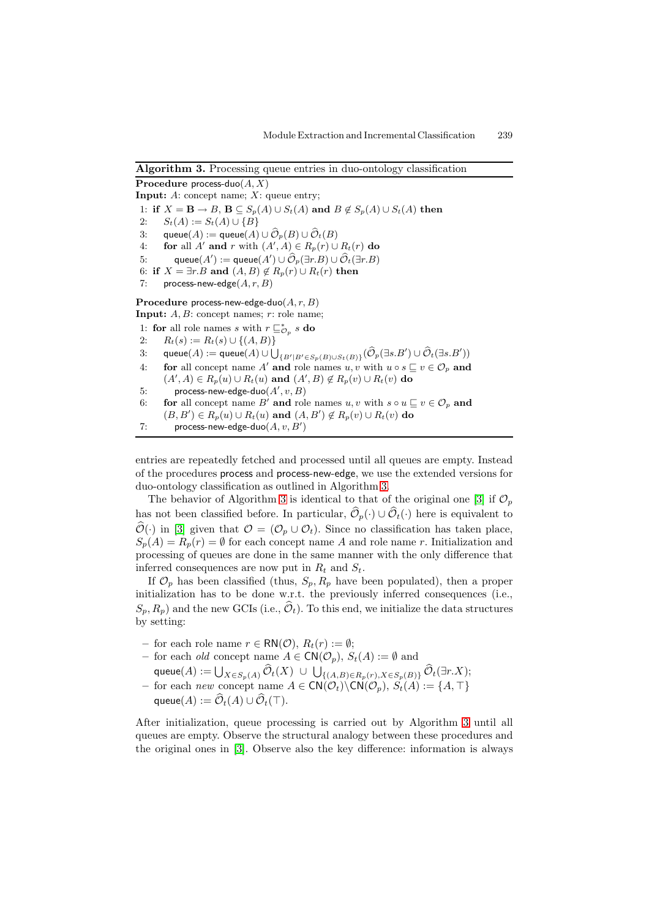## <span id="page-9-0"></span>**Algorithm 3.** Processing queue entries in duo-ontology classification **Procedure** process-duo $(A, X)$ **Input:** A: concept name; X: queue entry; 1: **if**  $X = \mathbf{B} \to B$ ,  $\mathbf{B} \subseteq S_p(A) \cup S_t(A)$  and  $B \notin S_p(A) \cup S_t(A)$  then 2:  $S_t(A) := S_t(A) \cup {B}$ 3: queue $(A)$  := queue $(A)$   $\cup$   $\mathcal{O}_p(B)$   $\cup$   $\mathcal{O}_t(B)$ 4: **for** all A' and r with  $(A', A) \in R_p(r) \cup R_t(r)$  do 5: queue $(A') :=$  queue $(A') \cup \widehat{\mathcal{O}}_p(\exists r.B) \cup \widehat{\mathcal{O}}_t(\exists r.B)$ 6: **if**  $X = \exists r.B$  and  $(A, B) \notin R_p(r) \cup R_t(r)$  then 7: process-new-edge $(A, r, B)$ Procedure process-new-edge-duo(A, r, B) **Input:**  $A, B$ : concept names;  $r$ : role name; 1: **for** all role names s with  $r \sqsubseteq_{\mathcal{O}_p}^* s$  **do** 2:  $R_t(s) := R_t(s) \cup \{(A, B)\}\$ 3: queu $(A) :=$  queu $(A) \cup \bigcup_{\{B' \mid B' \in S_p(B) \cup S_t(B)\}} (\widehat{\mathcal{O}}_p(\exists s.B') \cup \widehat{\mathcal{O}}_t(\exists s.B'))$ 4: **for** all concept name A' and role names  $u, v$  with  $u \circ s \subseteq v \in \mathcal{O}_p$  and  $(A', A) \in R_p(u) \cup R_t(u)$  and  $(A', B) \notin R_p(v) \cup R_t(v)$  do 5: process-new-edge-duo $(A', v, B)$ 6: **for** all concept name B' and role names  $u, v$  with  $s \circ u \sqsubseteq v \in \mathcal{O}_p$  and  $(B, B') \in R_p(u) \cup R_t(u)$  and  $(A, B') \notin R_p(v) \cup R_t(v)$  do 7: process-new-edge-duo $(A, v, B')$

entries are repeatedly fetched and processed until all queues are empty. Instead of the procedures process and process-new-edge, we use the extended versions for duo-ontology classification as outlined in Algorithm [3.](#page-9-0)

The behavior of Algorithm [3](#page-9-0) is identical to that of the original one [\[3\]](#page-14-2) if  $\mathcal{O}_p$ has not been classified before. In particular,  $\mathcal{O}_p(\cdot) \cup \mathcal{O}_t(\cdot)$  here is equivalent to  $\mathcal{O}(\cdot)$  in [\[3\]](#page-14-2) given that  $\mathcal{O} = (\mathcal{O}_p \cup \mathcal{O}_t)$ . Since no classification has taken place,  $S_p(A) = R_p(r) = \emptyset$  for each concept name A and role name r. Initialization and processing of queues are done in the same manner with the only difference that inferred consequences are now put in  $R_t$  and  $S_t$ .

If  $\mathcal{O}_p$  has been classified (thus,  $S_p$ ,  $R_p$  have been populated), then a proper initialization has to be done w.r.t. the previously inferred consequences (i.e.,  $(S_p, R_p)$  and the new GCIs (i.e.,  $\mathcal{O}_t$ ). To this end, we initialize the data structures by setting:

- $-$  for each role name  $r \in \mathsf{RN}(\mathcal{O}), R_t(r) := ∅;$
- for each *old* concept name  $A \in \mathsf{CN}(\mathcal{O}_p)$ ,  $S_t(A) := ∅$  and
- queue $(A) := \bigcup_{X \in S_p(A)} \mathcal{O}_t(X) \cup \bigcup_{\{(A,B) \in R_p(r), X \in S_p(B)\}} \mathcal{O}_t(\exists r.X);$ **−** for each new concept name  $A \in \text{CN}(\mathcal{O}_t) \backslash \text{CN}(\mathcal{O}_p)$ ,  $S_t(A) := \{A, \top\}$

```
queue(A) := \mathcal{O}_t(A) \cup \mathcal{O}_t(\top).
```
After initialization, queue processing is carried out by Algorithm [3](#page-9-0) until all queues are empty. Observe the structural analogy between these procedures and the original ones in [\[3\]](#page-14-2). Observe also the key difference: information is always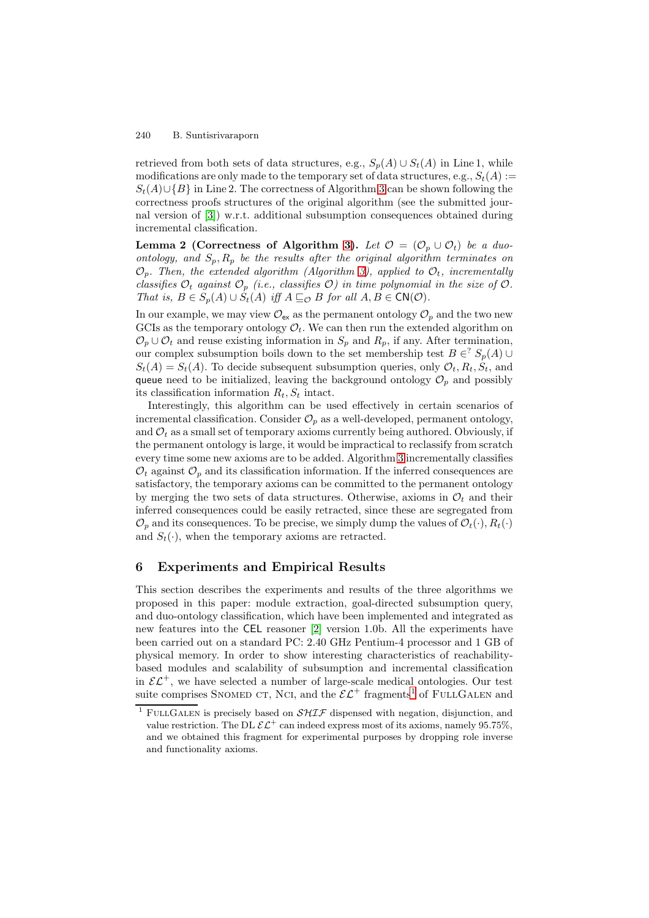retrieved from both sets of data structures, e.g.,  $S_p(A) \cup S_t(A)$  in Line 1, while modifications are only made to the temporary set of data structures, e.g.,  $S_t(A) :=$  $S_t(A) \cup \{B\}$  in Line 2. The correctness of Algorithm [3](#page-9-0) can be shown following the correctness proofs structures of the original algorithm (see the submitted journal version of [\[3\]](#page-14-2)) w.r.t. additional subsumption consequences obtained during incremental classification.

**Lemma 2 (Correctness of Algorithm [3\)](#page-9-0).** Let  $\mathcal{O} = (\mathcal{O}_p \cup \mathcal{O}_t)$  be a duoontology, and  $S_p$ ,  $R_p$  be the results after the original algorithm terminates on  $\mathcal{O}_p$ . Then, the extended algorithm (Algorithm [3\)](#page-9-0), applied to  $\mathcal{O}_t$ , incrementally classifies  $\mathcal{O}_t$  against  $\mathcal{O}_p$  (i.e., classifies  $\mathcal{O}$ ) in time polynomial in the size of  $\mathcal{O}$ . That is,  $B \in S_p(A) \cup S_t(A)$  iff  $A \sqsubseteq_{\mathcal{O}} B$  for all  $A, B \in \mathsf{CN}(\mathcal{O})$ .

In our example, we may view  $\mathcal{O}_{\mathsf{ex}}$  as the permanent ontology  $\mathcal{O}_p$  and the two new GCIs as the temporary ontology  $\mathcal{O}_t$ . We can then run the extended algorithm on  $\mathcal{O}_p \cup \mathcal{O}_t$  and reuse existing information in  $S_p$  and  $R_p$ , if any. After termination, our complex subsumption boils down to the set membership test  $B \in S_p(A) \cup$  $S_t(A) = S_t(A)$ . To decide subsequent subsumption queries, only  $\mathcal{O}_t, R_t, S_t$ , and queue need to be initialized, leaving the background ontology  $\mathcal{O}_p$  and possibly its classification information  $R_t$ ,  $S_t$  intact.

Interestingly, this algorithm can be used effectively in certain scenarios of incremental classification. Consider  $\mathcal{O}_p$  as a well-developed, permanent ontology, and  $\mathcal{O}_t$  as a small set of temporary axioms currently being authored. Obviously, if the permanent ontology is large, it would be impractical to reclassify from scratch every time some new axioms are to be added. Algorithm [3](#page-9-0) incrementally classifies  $\mathcal{O}_t$  against  $\mathcal{O}_p$  and its classification information. If the inferred consequences are satisfactory, the temporary axioms can be committed to the permanent ontology by merging the two sets of data structures. Otherwise, axioms in  $\mathcal{O}_t$  and their inferred consequences could be easily retracted, since these are segregated from  $\mathcal{O}_n$  and its consequences. To be precise, we simply dump the values of  $\mathcal{O}_t(\cdot), R_t(\cdot)$ and  $S_t(\cdot)$ , when the temporary axioms are retracted.

## <span id="page-10-0"></span>**6 Experiments and Empirical Results**

This section describes the experiments and results of the three algorithms we proposed in this paper: module extraction, goal-directed subsumption query, and duo-ontology classification, which have been implemented and integrated as new features into the CEL reasoner [\[2\]](#page-14-1) version 1.0b. All the experiments have been carried out on a standard PC: 2.40 GHz Pentium-4 processor and 1 GB of physical memory. In order to show interesting characteristics of reachabilitybased modules and scalability of subsumption and incremental classification in  $\mathcal{EL}^+$ , we have selected a number of large-scale medical ontologies. Our test suite comprises SNOMED CT, NCI, and the  $\mathcal{EL}^+$  fragments<sup>[1](#page-10-1)</sup> of FULLGALEN and

<span id="page-10-1"></span><sup>&</sup>lt;sup>1</sup> FULLGALEN is precisely based on  $\mathcal{SHTF}$  dispensed with negation, disjunction, and value restriction. The DL  $\mathcal{EL}^+$  can indeed express most of its axioms, namely 95.75%. and we obtained this fragment for experimental purposes by dropping role inverse and functionality axioms.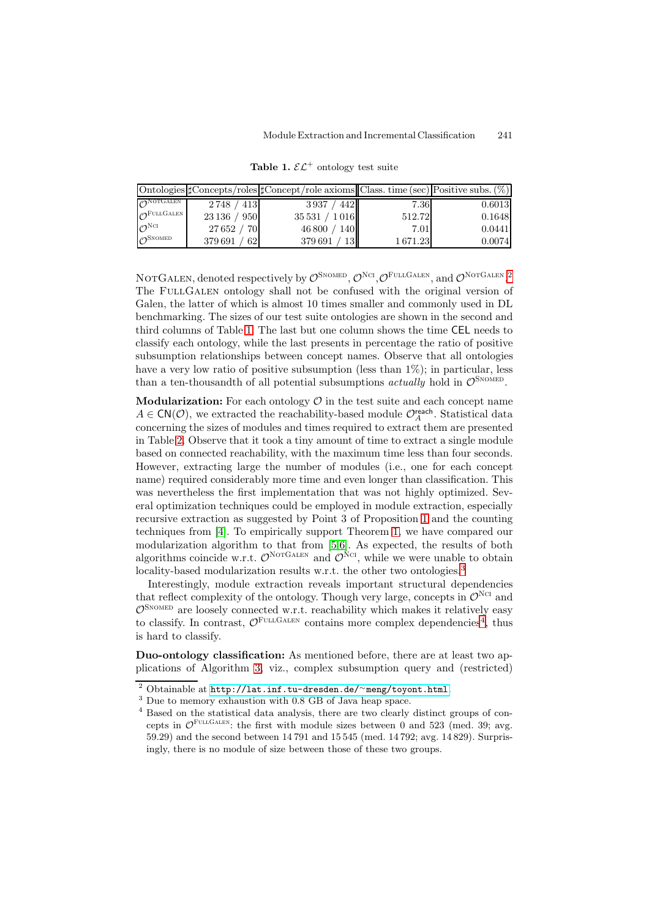<span id="page-11-0"></span>

|                                    |              | Ontologies $\sharp$ Concepts/roles $\sharp$ Concept/role axioms Class. time (sec) Positive subs. $(\%)$ |         |        |
|------------------------------------|--------------|---------------------------------------------------------------------------------------------------------|---------|--------|
| $\mathcal{O}^{\text{NOTGALEN}}$    | 2748 / 413   | 4421<br>3937/                                                                                           | 7.36    | 0.6013 |
| $\mathcal{O}^{\mathrm{FULLGALEN}}$ | 23 136 / 950 | 35531 / 1016                                                                                            | 512.72  | 0.1648 |
| $\mathcal{O}^{\rm NCI}$            | 27 652 / 70  | 46800 / 140                                                                                             | 7.01    | 0.0441 |
| $\mathcal{O}^{\textsc{SmoothED}}$  | 379 691 / 62 | 379691<br>13 <sub>l</sub>                                                                               | 1671.23 | 0.0074 |

**Table 1.**  $\mathcal{EL}^+$  ontology test suite

NOTGALEN, denoted respectively by  $\mathcal{O}^{\text{SNOMED}}, \mathcal{O}^{\text{NCI}}, \mathcal{O}^{\text{FULLGALEN}},$  and  $\mathcal{O}^{\text{NOTGALEN}}$ . The FULLGALEN ontology shall not be confused with the original version of Galen, the latter of which is almost 10 times smaller and commonly used in DL benchmarking. The sizes of our test suite ontologies are shown in the second and third columns of Table [1.](#page-11-0) The last but one column shows the time CEL needs to classify each ontology, while the last presents in percentage the ratio of positive subsumption relationships between concept names. Observe that all ontologies have a very low ratio of positive subsumption (less than  $1\%$ ); in particular, less than a ten-thousandth of all potential subsumptions *actually* hold in  $\mathcal{O}^{\text{SNOMED}}$ .

**Modularization:** For each ontology  $\mathcal{O}$  in the test suite and each concept name  $A \in \mathsf{CN}(\mathcal{O})$ , we extracted the reachability-based module  $\mathcal{O}_A^{\mathsf{reach}}$ . Statistical data concerning the sizes of modules and times required to extract them are presented in Table [2.](#page-12-0) Observe that it took a tiny amount of time to extract a single module based on connected reachability, with the maximum time less than four seconds. However, extracting large the number of modules (i.e., one for each concept name) required considerably more time and even longer than classification. This was nevertheless the first implementation that was not highly optimized. Several optimization techniques could be employed in module extraction, especially recursive extraction as suggested by Point 3 of Proposition [1](#page-4-0) and the counting techniques from [\[4\]](#page-14-10). To empirically support Theorem [1,](#page-5-1) we have compared our modularization algorithm to that from [\[5](#page-14-11)[,6\]](#page-14-7). As expected, the results of both algorithms coincide w.r.t.  $\mathcal{O}^{\text{NorGALEN}}$  and  $\mathcal{O}^{\text{Ncr}}$ , while we were unable to obtain locality-based modularization results w.r.t. the other two ontologies.<sup>[3](#page-11-2)</sup>

Interestingly, module extraction reveals important structural dependencies that reflect complexity of the ontology. Though very large, concepts in  $\mathcal{O}^{\text{NCI}}$  and  $\mathcal{O}^{\text{SNOMED}}$  are loosely connected w.r.t. reachability which makes it relatively easy to classify. In contrast,  $\mathcal{O}^{\text{FULGALEN}}$  contains more complex dependencies<sup>[4](#page-11-3)</sup>, thus is hard to classify.

**Duo-ontology classification:** As mentioned before, there are at least two applications of Algorithm [3,](#page-9-0) viz., complex subsumption query and (restricted)

<sup>2</sup> Obtainable at [http://lat.inf.tu-dresden.de/](http://lat.inf.tu-dresden.de/~meng/toyont.html)<sup>∼</sup>meng/toyont.html.

<span id="page-11-1"></span><sup>3</sup> Due to memory exhaustion with 0.8 GB of Java heap space.

<span id="page-11-3"></span><span id="page-11-2"></span><sup>4</sup> Based on the statistical data analysis, there are two clearly distinct groups of concepts in  $\mathcal{O}^{\text{FULLGALEN}}$ : the first with module sizes between 0 and 523 (med. 39; avg. 59.29) and the second between 14 791 and 15 545 (med. 14 792; avg. 14 829). Surprisingly, there is no module of size between those of these two groups.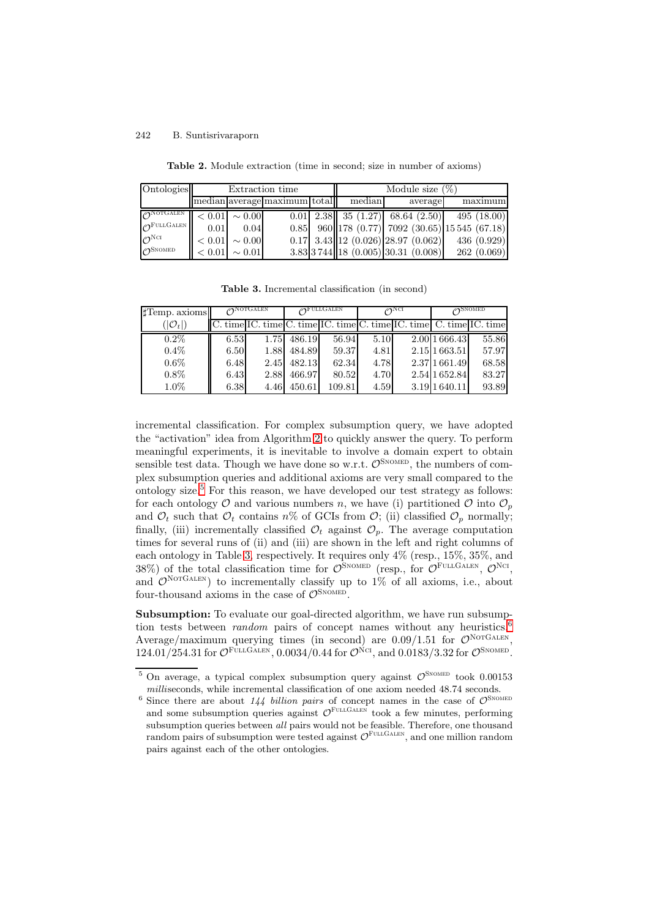| <b>Table 2.</b> Module extraction (time in second: size in number of axioms) |  |  |  |
|------------------------------------------------------------------------------|--|--|--|
|------------------------------------------------------------------------------|--|--|--|

<span id="page-12-0"></span>

| Ontologies                       |        |             | Extraction time              | Module size $(\%)$ |                                          |                                                  |  |
|----------------------------------|--------|-------------|------------------------------|--------------------|------------------------------------------|--------------------------------------------------|--|
|                                  |        |             | median average maximum total | median             | average                                  | maximum                                          |  |
| $\bigcap$ NOTGALEN               | < 0.01 | $\sim 0.00$ |                              |                    |                                          | $0.01$ 2.38 35 (1.27) 68.64 (2.50) 495 (18.00)   |  |
| $\mathcal{O}^{\text{FULLGALEN}}$ | 0.01   | 0.04        |                              |                    |                                          | $0.85$ 960 178 (0.77) 7092 (30.65) 15545 (67.18) |  |
| $\mathcal{O}^{\rm NCI}$          | < 0.01 | $\sim 0.00$ |                              |                    | $0.17$ 3.43 12 $(0.026)$ 28.97 $(0.062)$ | 436(0.929)                                       |  |
| $\Omega$ SNOMED                  | < 0.01 | $\sim 0.01$ |                              |                    | 3.83 3744 18(0.005) 30.31(0.008)         | 262(0.069)                                       |  |

**Table 3.** Incremental classification (in second)

<span id="page-12-2"></span>

| $\text{Temp. axioms}$ | $\bigwedge$ NOTGALEN |      | <b>OFULLGALEN</b> |                                                                       | $\bigwedge^{\mathbb{N}}$ CI |  | $\sqrt{2}$ SNOMED |       |
|-----------------------|----------------------|------|-------------------|-----------------------------------------------------------------------|-----------------------------|--|-------------------|-------|
| $( \mathcal{O}_t )$   |                      |      |                   | $C.$ time IC. time C. time IC. time C. time IC. time C. time IC. time |                             |  |                   |       |
| $0.2\%$               | 6.53                 | 1.75 | 486.19            | 56.94                                                                 | 5.10                        |  | 2.00 1 666.43     | 55.86 |
| $0.4\%$               | 6.50                 | 1.88 | 484.89            | 59.37                                                                 | 4.81                        |  | 2.15 1 663.51     | 57.97 |
| $0.6\%$               | 6.48                 | 2.45 | 482.13            | 62.34                                                                 | 4.78                        |  | 2.37 1661.49      | 68.58 |
| $0.8\%$               | 6.43                 | 2.88 | 466.97            | 80.52                                                                 | 4.70                        |  | 2.54 1652.84      | 83.27 |
| $1.0\%$               | 6.38                 | 4.46 | 450.61            | 109.81                                                                | 4.59                        |  | 3.19 1 640.11     | 93.89 |

incremental classification. For complex subsumption query, we have adopted the "activation" idea from Algorithm [2](#page-7-0) to quickly answer the query. To perform meaningful experiments, it is inevitable to involve a domain expert to obtain sensible test data. Though we have done so w.r.t.  $\mathcal{O}^{\text{SNOMED}}$ , the numbers of complex subsumption queries and additional axioms are very small compared to the ontology size.<sup>[5](#page-12-1)</sup> For this reason, we have developed our test strategy as follows: for each ontology  $\mathcal O$  and various numbers n, we have (i) partitioned  $\mathcal O$  into  $\mathcal O_p$ and  $\mathcal{O}_t$  such that  $\mathcal{O}_t$  contains  $n\%$  of GCIs from  $\mathcal{O}_t$ ; (ii) classified  $\mathcal{O}_p$  normally; finally, (iii) incrementally classified  $\mathcal{O}_t$  against  $\mathcal{O}_p$ . The average computation times for several runs of (ii) and (iii) are shown in the left and right columns of each ontology in Table [3,](#page-12-2) respectively. It requires only 4% (resp., 15%, 35%, and 38%) of the total classification time for  $\mathcal{O}^{\text{S}}$ <sup>NOMED</sup> (resp., for  $\mathcal{O}^{\text{FULGALEN}}$ ,  $\mathcal{O}^{\text{NCI}}$ , and  $\mathcal{O}^{\text{NorGALEN}}$  to incrementally classify up to 1% of all axioms, i.e., about four-thousand axioms in the case of  $\mathcal{O}^\text{SnonED}$ 

**Subsumption:** To evaluate our goal-directed algorithm, we have run subsumption tests between *random* pairs of concept names without any heuristics.<sup>[6](#page-12-3)</sup> Average/maximum querying times (in second) are  $0.09/1.51$  for  $\mathcal{O}^{\text{NorGALEN}}$  $124.01/254.31$  for  $\mathcal{O}^{\text{FULGALEN}}$ , 0.0034/0.44 for  $\mathcal{O}^{\text{NCI}}$ , and 0.0183/3.32 for  $\mathcal{O}^{\text{SNOMED}}$ .

<span id="page-12-1"></span><sup>&</sup>lt;sup>5</sup> On average, a typical complex subsumption query against  $\mathcal{O}^{\text{SNOMED}}$  took 0.00153 milliseconds, while incremental classification of one axiom needed 48.74 seconds.

<span id="page-12-3"></span><sup>&</sup>lt;sup>6</sup> Since there are about 144 billion pairs of concept names in the case of  $\mathcal{O}^{\text{SNOMED}}$ and some subsumption queries against  $\mathcal{O}^{\text{FULIGALEN}}$  took a few minutes, performing subsumption queries between all pairs would not be feasible. Therefore, one thousand random pairs of subsumption were tested against  $\mathcal{O}^{\text{FULGALEN}}$ , and one million random pairs against each of the other ontologies.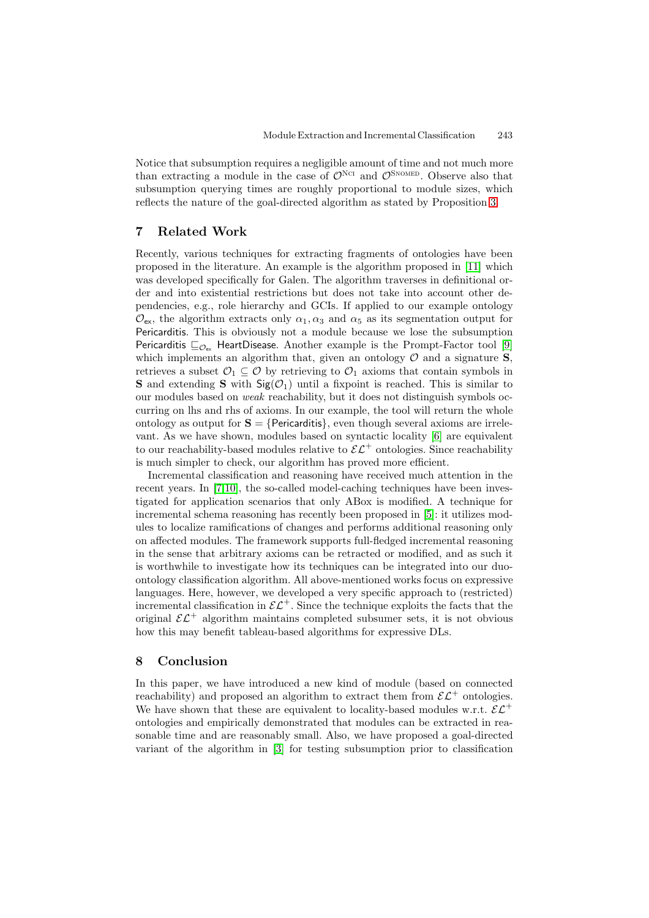Notice that subsumption requires a negligible amount of time and not much more than extracting a module in the case of  $\mathcal{O}^{\text{NCI}}$  and  $\mathcal{O}^{\text{S}}$ <sup>NOMED</sup>. Observe also that subsumption querying times are roughly proportional to module sizes, which reflects the nature of the goal-directed algorithm as stated by Proposition [3.](#page-7-1)

## **7 Related Work**

Recently, various techniques for extracting fragments of ontologies have been proposed in the literature. An example is the algorithm proposed in [\[11\]](#page-14-6) which was developed specifically for Galen. The algorithm traverses in definitional order and into existential restrictions but does not take into account other dependencies, e.g., role hierarchy and GCIs. If applied to our example ontology  $\mathcal{O}_{\text{ex}}$ , the algorithm extracts only  $\alpha_1, \alpha_3$  and  $\alpha_5$  as its segmentation output for Pericarditis. This is obviously not a module because we lose the subsumption Pericarditis  $\sqsubseteq_{\mathcal{O}_{\text{ev}}}$  HeartDisease. Another example is the Prompt-Factor tool [\[9\]](#page-14-5) which implements an algorithm that, given an ontology  $\mathcal{O}$  and a signature **S**, retrieves a subset  $\mathcal{O}_1 \subseteq \mathcal{O}$  by retrieving to  $\mathcal{O}_1$  axioms that contain symbols in **S** and extending **S** with  $\text{Sig}(\mathcal{O}_1)$  until a fixpoint is reached. This is similar to our modules based on weak reachability, but it does not distinguish symbols occurring on lhs and rhs of axioms. In our example, the tool will return the whole ontology as output for  $S = \{Pericarditis\}$ , even though several axioms are irrelevant. As we have shown, modules based on syntactic locality [\[6\]](#page-14-7) are equivalent to our reachability-based modules relative to  $\mathcal{EL}^+$  ontologies. Since reachability is much simpler to check, our algorithm has proved more efficient.

Incremental classification and reasoning have received much attention in the recent years. In [\[7](#page-14-12)[,10\]](#page-14-13), the so-called model-caching techniques have been investigated for application scenarios that only ABox is modified. A technique for incremental schema reasoning has recently been proposed in [\[5\]](#page-14-11): it utilizes modules to localize ramifications of changes and performs additional reasoning only on affected modules. The framework supports full-fledged incremental reasoning in the sense that arbitrary axioms can be retracted or modified, and as such it is worthwhile to investigate how its techniques can be integrated into our duoontology classification algorithm. All above-mentioned works focus on expressive languages. Here, however, we developed a very specific approach to (restricted) incremental classification in  $\mathcal{E}\mathcal{L}^+$ . Since the technique exploits the facts that the original  $\mathcal{EL}^+$  algorithm maintains completed subsumer sets, it is not obvious how this may benefit tableau-based algorithms for expressive DLs.

## **8 Conclusion**

In this paper, we have introduced a new kind of module (based on connected reachability) and proposed an algorithm to extract them from  $\mathcal{E} \mathcal{L}^+$  ontologies. We have shown that these are equivalent to locality-based modules w.r.t.  $\mathcal{EL}^+$ ontologies and empirically demonstrated that modules can be extracted in reasonable time and are reasonably small. Also, we have proposed a goal-directed variant of the algorithm in [\[3\]](#page-14-2) for testing subsumption prior to classification